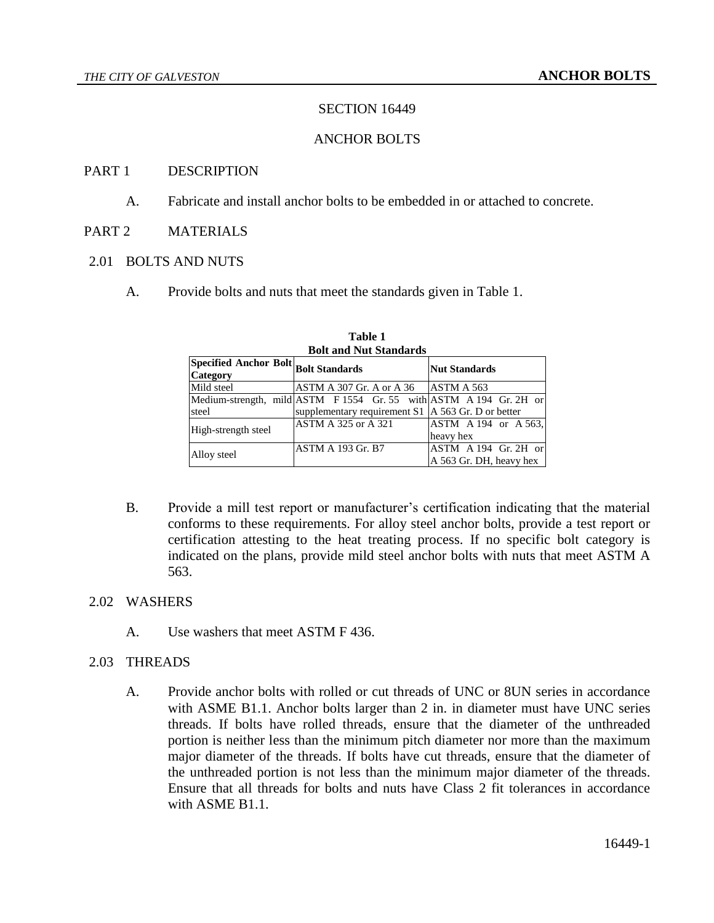# SECTION 16449

## ANCHOR BOLTS

### PART 1 DESCRIPTION

- A. Fabricate and install anchor bolts to be embedded in or attached to concrete.
- PART 2 MATERIALS

### 2.01 BOLTS AND NUTS

A. Provide bolts and nuts that meet the standards given in Table 1.

| Don ami iyut bumud us                                   |                                                                    |                         |
|---------------------------------------------------------|--------------------------------------------------------------------|-------------------------|
| Specified Anchor Bolt Bolt Standards<br><b>Category</b> |                                                                    | <b>Nut Standards</b>    |
| Mild steel                                              | $ASTM A 307 Gr. A or A 36$ $ASTM A 563$                            |                         |
|                                                         | Medium-strength, mild ASTM F 1554 Gr. 55 with ASTM A 194 Gr. 2H or |                         |
| steel                                                   | supplementary requirement $S1 \mid A 563 \text{ Gr. D}$ or better  |                         |
| High-strength steel                                     | ASTM A 325 or A 321                                                | $ASTM A 194$ or A 563,  |
|                                                         |                                                                    | heavy hex               |
| Alloy steel                                             | <b>ASTM A 193 Gr. B7</b>                                           | ASTM A 194 Gr. 2H or    |
|                                                         |                                                                    | A 563 Gr. DH, heavy hex |

**Table 1 Bolt and Nut Standards**

B. Provide a mill test report or manufacturer's certification indicating that the material conforms to these requirements. For alloy steel anchor bolts, provide a test report or certification attesting to the heat treating process. If no specific bolt category is indicated on the plans, provide mild steel anchor bolts with nuts that meet ASTM A 563.

### 2.02 WASHERS

A. Use washers that meet ASTM F 436.

## 2.03 THREADS

A. Provide anchor bolts with rolled or cut threads of UNC or 8UN series in accordance with ASME B1.1. Anchor bolts larger than 2 in. in diameter must have UNC series threads. If bolts have rolled threads, ensure that the diameter of the unthreaded portion is neither less than the minimum pitch diameter nor more than the maximum major diameter of the threads. If bolts have cut threads, ensure that the diameter of the unthreaded portion is not less than the minimum major diameter of the threads. Ensure that all threads for bolts and nuts have Class 2 fit tolerances in accordance with ASME B1.1.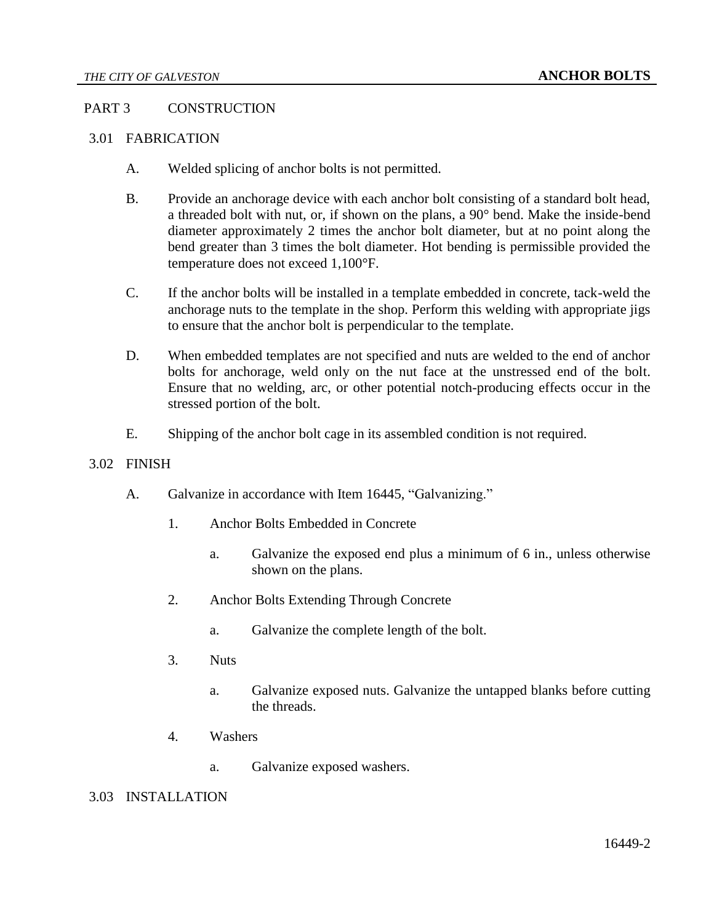# PART 3 CONSTRUCTION

# 3.01 FABRICATION

- A. Welded splicing of anchor bolts is not permitted.
- B. Provide an anchorage device with each anchor bolt consisting of a standard bolt head, a threaded bolt with nut, or, if shown on the plans, a 90° bend. Make the inside-bend diameter approximately 2 times the anchor bolt diameter, but at no point along the bend greater than 3 times the bolt diameter. Hot bending is permissible provided the temperature does not exceed 1,100°F.
- C. If the anchor bolts will be installed in a template embedded in concrete, tack-weld the anchorage nuts to the template in the shop. Perform this welding with appropriate jigs to ensure that the anchor bolt is perpendicular to the template.
- D. When embedded templates are not specified and nuts are welded to the end of anchor bolts for anchorage, weld only on the nut face at the unstressed end of the bolt. Ensure that no welding, arc, or other potential notch-producing effects occur in the stressed portion of the bolt.
- E. Shipping of the anchor bolt cage in its assembled condition is not required.

## 3.02 FINISH

- A. Galvanize in accordance with Item 16445, "Galvanizing."
	- 1. Anchor Bolts Embedded in Concrete
		- a. Galvanize the exposed end plus a minimum of 6 in., unless otherwise shown on the plans.
	- 2. Anchor Bolts Extending Through Concrete
		- a. Galvanize the complete length of the bolt.
	- 3. Nuts
		- a. Galvanize exposed nuts. Galvanize the untapped blanks before cutting the threads.
	- 4. Washers
		- a. Galvanize exposed washers.

# 3.03 INSTALLATION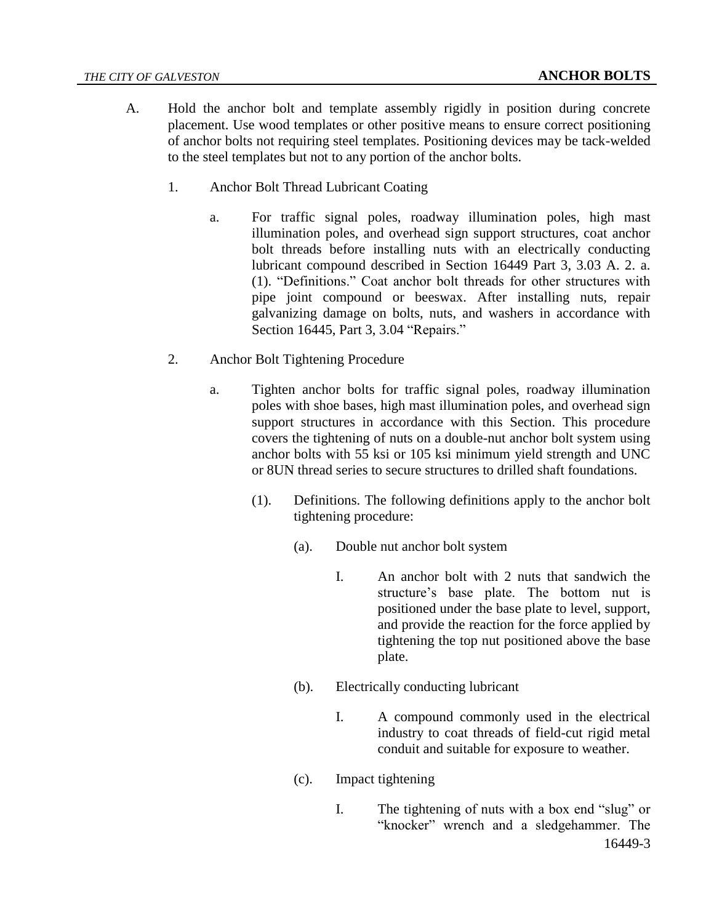- A. Hold the anchor bolt and template assembly rigidly in position during concrete placement. Use wood templates or other positive means to ensure correct positioning of anchor bolts not requiring steel templates. Positioning devices may be tack-welded to the steel templates but not to any portion of the anchor bolts.
	- 1. Anchor Bolt Thread Lubricant Coating
		- a. For traffic signal poles, roadway illumination poles, high mast illumination poles, and overhead sign support structures, coat anchor bolt threads before installing nuts with an electrically conducting lubricant compound described in Section 16449 Part 3, 3.03 A. 2. a. (1). "Definitions." Coat anchor bolt threads for other structures with pipe joint compound or beeswax. After installing nuts, repair galvanizing damage on bolts, nuts, and washers in accordance with Section 16445, Part 3, 3.04 "Repairs."
	- 2. Anchor Bolt Tightening Procedure
		- a. Tighten anchor bolts for traffic signal poles, roadway illumination poles with shoe bases, high mast illumination poles, and overhead sign support structures in accordance with this Section. This procedure covers the tightening of nuts on a double-nut anchor bolt system using anchor bolts with 55 ksi or 105 ksi minimum yield strength and UNC or 8UN thread series to secure structures to drilled shaft foundations.
			- (1). Definitions. The following definitions apply to the anchor bolt tightening procedure:
				- (a). Double nut anchor bolt system
					- I. An anchor bolt with 2 nuts that sandwich the structure's base plate. The bottom nut is positioned under the base plate to level, support, and provide the reaction for the force applied by tightening the top nut positioned above the base plate.
				- (b). Electrically conducting lubricant
					- I. A compound commonly used in the electrical industry to coat threads of field-cut rigid metal conduit and suitable for exposure to weather.
				- (c). Impact tightening
					- 16449-3 I. The tightening of nuts with a box end "slug" or "knocker" wrench and a sledgehammer. The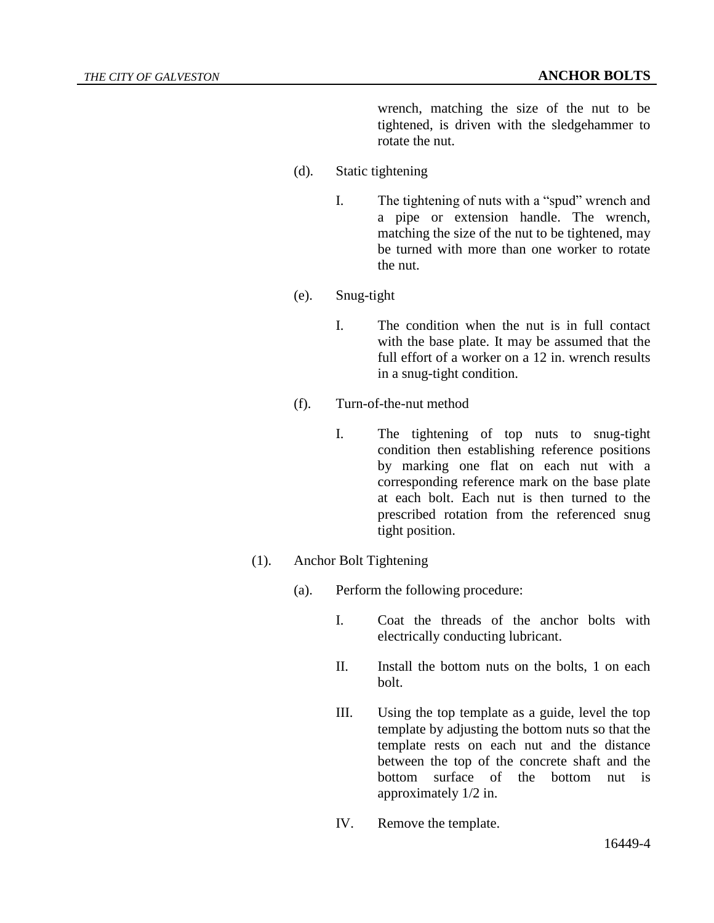wrench, matching the size of the nut to be tightened, is driven with the sledgehammer to rotate the nut.

- (d). Static tightening
	- I. The tightening of nuts with a "spud" wrench and a pipe or extension handle. The wrench, matching the size of the nut to be tightened, may be turned with more than one worker to rotate the nut.
- (e). Snug-tight
	- I. The condition when the nut is in full contact with the base plate. It may be assumed that the full effort of a worker on a 12 in. wrench results in a snug-tight condition.
- (f). Turn-of-the-nut method
	- I. The tightening of top nuts to snug-tight condition then establishing reference positions by marking one flat on each nut with a corresponding reference mark on the base plate at each bolt. Each nut is then turned to the prescribed rotation from the referenced snug tight position.
- (1). Anchor Bolt Tightening
	- (a). Perform the following procedure:
		- I. Coat the threads of the anchor bolts with electrically conducting lubricant.
		- II. Install the bottom nuts on the bolts, 1 on each bolt.
		- III. Using the top template as a guide, level the top template by adjusting the bottom nuts so that the template rests on each nut and the distance between the top of the concrete shaft and the bottom surface of the bottom nut is approximately 1/2 in.
		- IV. Remove the template.